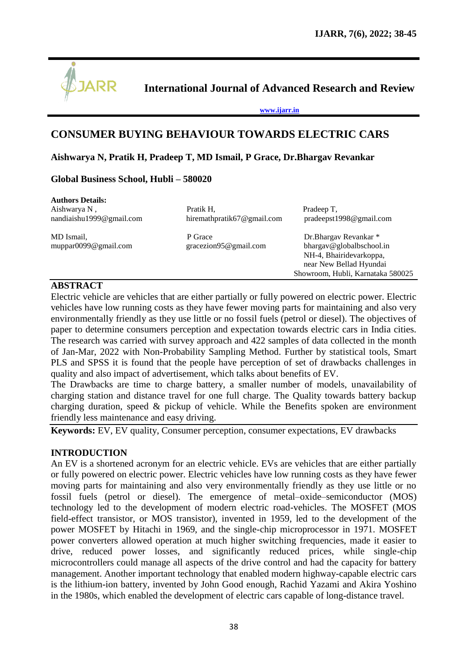

**Authors Details:**

**International Journal of Advanced Research and Review**

**[www.ijarr.in](http://www.ijarr.in/)**

# **CONSUMER BUYING BEHAVIOUR TOWARDS ELECTRIC CARS**

**Aishwarya N, Pratik H, Pradeep T, MD Ismail, P Grace, Dr.Bhargav Revankar**

#### **Global Business School, Hubli – 580020**

| <b>Authors Details:</b>  |                            |                                   |
|--------------------------|----------------------------|-----------------------------------|
| Aishwarya N,             | Pratik H,                  | Pradeep T.                        |
| nandiaishu1999@gmail.com | hiremathpratik67@gmail.com | pradeepst1998@gmail.com           |
| MD Ismail,               | P Grace                    | Dr.Bhargav Revankar *             |
| muppar0099@gmail.com     | gracezion95@gmail.com      | bhargav@globalbschool.in          |
|                          |                            | NH-4, Bhairidevarkoppa,           |
|                          |                            | near New Bellad Hyundai           |
|                          |                            | Showroom, Hubli, Karnataka 580025 |

#### **ABSTRACT**

Electric vehicle are vehicles that are either partially or fully powered on electric power. Electric vehicles have low running costs as they have fewer moving parts for maintaining and also very environmentally friendly as they use little or no fossil fuels (petrol or diesel). The objectives of paper to determine consumers perception and expectation towards electric cars in India cities. The research was carried with survey approach and 422 samples of data collected in the month of Jan-Mar, 2022 with Non-Probability Sampling Method. Further by statistical tools, Smart PLS and SPSS it is found that the people have perception of set of drawbacks challenges in quality and also impact of advertisement, which talks about benefits of EV.

The Drawbacks are time to charge battery, a smaller number of models, unavailability of charging station and distance travel for one full charge. The Quality towards battery backup charging duration, speed & pickup of vehicle. While the Benefits spoken are environment friendly less maintenance and easy driving.

**Keywords:** EV, EV quality, Consumer perception, consumer expectations, EV drawbacks

### **INTRODUCTION**

An EV is a shortened acronym for an electric vehicle. EVs are vehicles that are either partially or fully powered on electric power. Electric vehicles have low running costs as they have fewer moving parts for maintaining and also very environmentally friendly as they use little or no fossil fuels (petrol or diesel). The emergence of metal–oxide–semiconductor (MOS) technology led to the development of modern electric road-vehicles. The MOSFET (MOS field-effect transistor, or MOS transistor), invented in 1959, led to the development of the power MOSFET by Hitachi in 1969, and the single-chip microprocessor in 1971. MOSFET power converters allowed operation at much higher switching frequencies, made it easier to drive, reduced power losses, and significantly reduced prices, while single-chip microcontrollers could manage all aspects of the drive control and had the capacity for battery management. Another important technology that enabled modern highway-capable electric cars is the lithium-ion battery, invented by John Good enough, Rachid Yazami and Akira Yoshino in the 1980s, which enabled the development of electric cars capable of long-distance travel.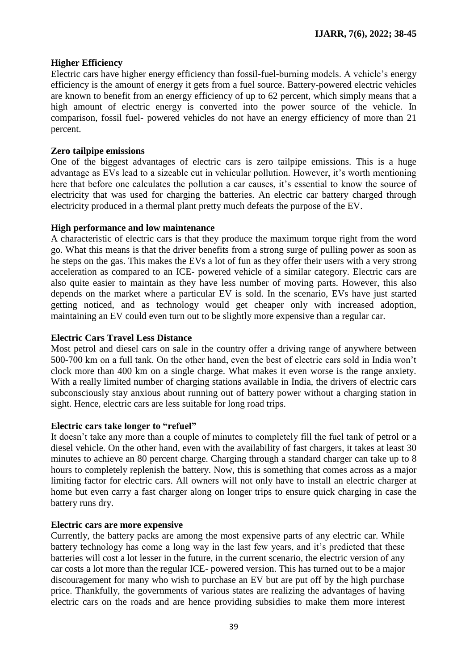#### **Higher Efficiency**

Electric cars have higher energy efficiency than fossil-fuel-burning models. A vehicle's energy efficiency is the amount of energy it gets from a fuel source. Battery-powered electric vehicles are known to benefit from an energy efficiency of up to 62 percent, which simply means that a high amount of electric energy is converted into the power source of the vehicle. In comparison, fossil fuel- powered vehicles do not have an energy efficiency of more than 21 percent.

#### **Zero tailpipe emissions**

One of the biggest advantages of electric cars is zero tailpipe emissions. This is a huge advantage as EVs lead to a sizeable cut in vehicular pollution. However, it's worth mentioning here that before one calculates the pollution a car causes, it's essential to know the source of electricity that was used for charging the batteries. An electric car battery charged through electricity produced in a thermal plant pretty much defeats the purpose of the EV.

#### **High performance and low maintenance**

A characteristic of electric cars is that they produce the maximum torque right from the word go. What this means is that the driver benefits from a strong surge of pulling power as soon as he steps on the gas. This makes the EVs a lot of fun as they offer their users with a very strong acceleration as compared to an ICE- powered vehicle of a similar category. Electric cars are also quite easier to maintain as they have less number of moving parts. However, this also depends on the market where a particular EV is sold. In the scenario, EVs have just started getting noticed, and as technology would get cheaper only with increased adoption, maintaining an EV could even turn out to be slightly more expensive than a regular car.

#### **Electric Cars Travel Less Distance**

Most petrol and diesel cars on sale in the country offer a driving range of anywhere between 500-700 km on a full tank. On the other hand, even the best of electric cars sold in India won't clock more than 400 km on a single charge. What makes it even worse is the range anxiety. With a really limited number of charging stations available in India, the drivers of electric cars subconsciously stay anxious about running out of battery power without a charging station in sight. Hence, electric cars are less suitable for long road trips.

#### **Electric cars take longer to "refuel"**

It doesn't take any more than a couple of minutes to completely fill the fuel tank of petrol or a diesel vehicle. On the other hand, even with the availability of fast chargers, it takes at least 30 minutes to achieve an 80 percent charge. Charging through a standard charger can take up to 8 hours to completely replenish the battery. Now, this is something that comes across as a major limiting factor for electric cars. All owners will not only have to install an electric charger at home but even carry a fast charger along on longer trips to ensure quick charging in case the battery runs dry.

#### **Electric cars are more expensive**

Currently, the battery packs are among the most expensive parts of any electric car. While battery technology has come a long way in the last few years, and it's predicted that these batteries will cost a lot lesser in the future, in the current scenario, the electric version of any car costs a lot more than the regular ICE- powered version. This has turned out to be a major discouragement for many who wish to purchase an EV but are put off by the high purchase price. Thankfully, the governments of various states are realizing the advantages of having electric cars on the roads and are hence providing subsidies to make them more interest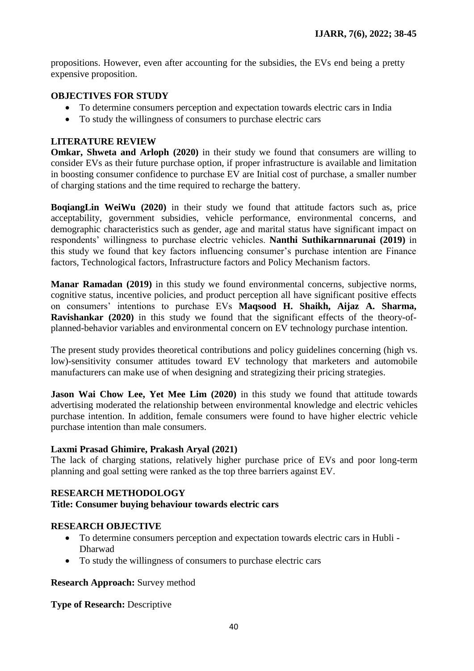propositions. However, even after accounting for the subsidies, the EVs end being a pretty expensive proposition.

### **OBJECTIVES FOR STUDY**

- To determine consumers perception and expectation towards electric cars in India
- To study the willingness of consumers to purchase electric cars

### **LITERATURE REVIEW**

**Omkar, Shweta and Arloph (2020)** in their study we found that consumers are willing to consider EVs as their future purchase option, if proper infrastructure is available and limitation in boosting consumer confidence to purchase EV are Initial cost of purchase, a smaller number of charging stations and the time required to recharge the battery.

**BoqiangLin WeiWu (2020)** in their study we found that attitude factors such as, price acceptability, government subsidies, vehicle performance, environmental concerns, and demographic characteristics such as gender, age and marital status have significant impact on respondents' willingness to purchase electric vehicles. **Nanthi Suthikarnnarunai (2019)** in this study we found that key factors influencing consumer's purchase intention are Finance factors, Technological factors, Infrastructure factors and Policy Mechanism factors.

**Manar Ramadan (2019)** in this study we found environmental concerns, subjective norms, cognitive status, incentive policies, and product perception all have significant positive effects on consumers' intentions to purchase EVs **Maqsood H. Shaikh, Aijaz A. Sharma, Ravishankar (2020)** in this study we found that the significant effects of the theory-ofplanned-behavior variables and environmental concern on EV technology purchase intention.

The present study provides theoretical contributions and policy guidelines concerning (high vs. low)-sensitivity consumer attitudes toward EV technology that marketers and automobile manufacturers can make use of when designing and strategizing their pricing strategies.

**Jason Wai Chow Lee, Yet Mee Lim (2020)** in this study we found that attitude towards advertising moderated the relationship between environmental knowledge and electric vehicles purchase intention. In addition, female consumers were found to have higher electric vehicle purchase intention than male consumers.

### **Laxmi Prasad Ghimire, Prakash Aryal (2021)**

The lack of charging stations, relatively higher purchase price of EVs and poor long-term planning and goal setting were ranked as the top three barriers against EV.

### **RESEARCH METHODOLOGY**

### **Title: Consumer buying behaviour towards electric cars**

### **RESEARCH OBJECTIVE**

- To determine consumers perception and expectation towards electric cars in Hubli Dharwad
- To study the willingness of consumers to purchase electric cars

### **Research Approach:** Survey method

**Type of Research:** Descriptive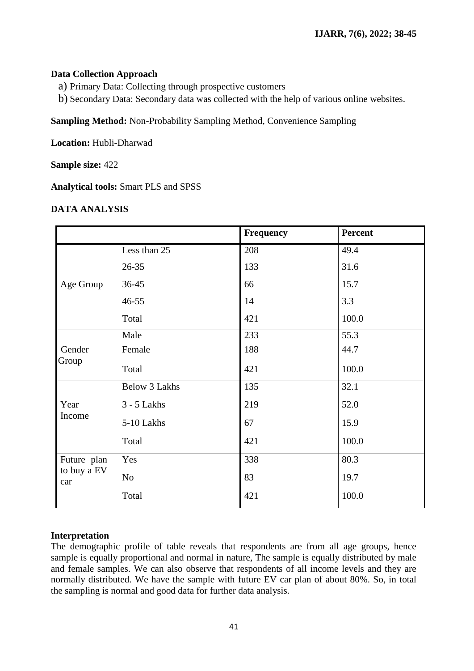#### **Data Collection Approach**

- a) Primary Data: Collecting through prospective customers
- b) Secondary Data: Secondary data was collected with the help of various online websites.

**Sampling Method:** Non-Probability Sampling Method, Convenience Sampling

**Location:** Hubli-Dharwad

**Sample size:** 422

**Analytical tools:** Smart PLS and SPSS

### **DATA ANALYSIS**

|                                   |                      | Frequency | <b>Percent</b> |
|-----------------------------------|----------------------|-----------|----------------|
|                                   | Less than 25         | 208       | 49.4           |
|                                   | $26 - 35$            | 133       | 31.6           |
| Age Group                         | $36 - 45$            | 66        | 15.7           |
|                                   | $46 - 55$            | 14        | 3.3            |
|                                   | Total                | 421       | 100.0          |
|                                   | Male                 | 233       | 55.3           |
| Gender                            | Female               | 188       | 44.7           |
| Group                             | Total                | 421       | 100.0          |
|                                   | <b>Below 3 Lakhs</b> | 135       | 32.1           |
| Year                              | $3 - 5$ Lakhs        | 219       | 52.0           |
| Income                            | 5-10 Lakhs           | 67        | 15.9           |
|                                   | Total                | 421       | 100.0          |
| Future plan<br>to buy a EV<br>car | Yes                  | 338       | 80.3           |
|                                   | No                   | 83        | 19.7           |
|                                   | Total                | 421       | 100.0          |

### **Interpretation**

The demographic profile of table reveals that respondents are from all age groups, hence sample is equally proportional and normal in nature, The sample is equally distributed by male and female samples. We can also observe that respondents of all income levels and they are normally distributed. We have the sample with future EV car plan of about 80%. So, in total the sampling is normal and good data for further data analysis.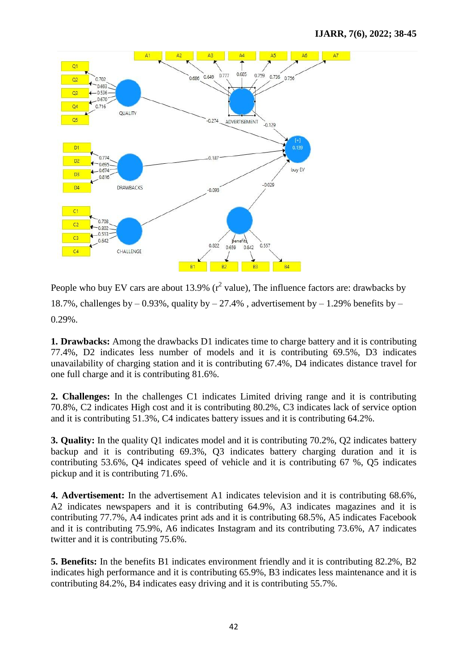

People who buy EV cars are about 13.9% ( $r^2$  value), The influence factors are: drawbacks by 18.7%, challenges by  $-0.93\%$ , quality by  $-27.4\%$ , advertisement by  $-1.29\%$  benefits by  $-$ 0.29%.

**1. Drawbacks:** Among the drawbacks D1 indicates time to charge battery and it is contributing 77.4%, D2 indicates less number of models and it is contributing 69.5%, D3 indicates unavailability of charging station and it is contributing 67.4%, D4 indicates distance travel for one full charge and it is contributing 81.6%.

**2. Challenges:** In the challenges C1 indicates Limited driving range and it is contributing 70.8%, C2 indicates High cost and it is contributing 80.2%, C3 indicates lack of service option and it is contributing 51.3%, C4 indicates battery issues and it is contributing 64.2%.

**3. Quality:** In the quality Q1 indicates model and it is contributing 70.2%, Q2 indicates battery backup and it is contributing 69.3%, Q3 indicates battery charging duration and it is contributing 53.6%, Q4 indicates speed of vehicle and it is contributing 67 %, Q5 indicates pickup and it is contributing 71.6%.

**4. Advertisement:** In the advertisement A1 indicates television and it is contributing 68.6%, A2 indicates newspapers and it is contributing 64.9%, A3 indicates magazines and it is contributing 77.7%, A4 indicates print ads and it is contributing 68.5%, A5 indicates Facebook and it is contributing 75.9%, A6 indicates Instagram and its contributing 73.6%, A7 indicates twitter and it is contributing 75.6%.

**5. Benefits:** In the benefits B1 indicates environment friendly and it is contributing 82.2%, B2 indicates high performance and it is contributing 65.9%, B3 indicates less maintenance and it is contributing 84.2%, B4 indicates easy driving and it is contributing 55.7%.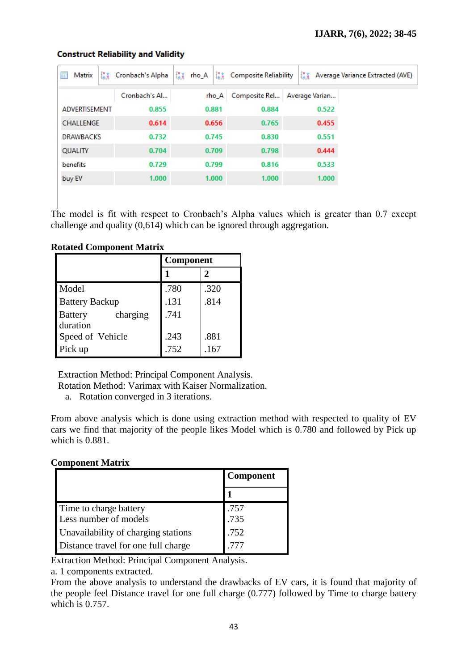| H<br>Matrix<br>匪 | Cronbach's Alpha | 驛<br>¦¦‡i<br>rho_A | <b>Composite Reliability</b> | 驛              | Average Variance Extracted (AVE) |
|------------------|------------------|--------------------|------------------------------|----------------|----------------------------------|
|                  | Cronbach's Al    | rho A              | Composite Rel                | Average Varian |                                  |
| ADVERTISEMENT    | 0.855            | 0.881              | 0.884                        | 0.522          |                                  |
| <b>CHALLENGE</b> | 0.614            | 0.656              | 0.765                        | 0.455          |                                  |
| <b>DRAWBACKS</b> | 0.732            | 0.745              | 0.830                        | 0.551          |                                  |
| <b>QUALITY</b>   | 0.704            | 0.709              | 0.798                        | 0.444          |                                  |
| benefits         | 0.729            | 0.799              | 0.816                        | 0.533          |                                  |
| buy EV           | 1.000            | 1.000              | 1.000                        | 1.000          |                                  |

#### **Construct Reliability and Validity**

The model is fit with respect to Cronbach's Alpha values which is greater than 0.7 except challenge and quality (0,614) which can be ignored through aggregation.

| <b>Rotated Component Matrix</b> |  |  |  |
|---------------------------------|--|--|--|
|---------------------------------|--|--|--|

|                            | <b>Component</b> |      |
|----------------------------|------------------|------|
|                            | 1                | 2    |
| Model                      | .780             | .320 |
| <b>Battery Backup</b>      | .131             | .814 |
| charging<br><b>Battery</b> | .741             |      |
| duration                   |                  |      |
| Speed of Vehicle           | .243             | .881 |
| Pick up                    | .752             | .167 |

Extraction Method: Principal Component Analysis.

Rotation Method: Varimax with Kaiser Normalization.

a. Rotation converged in 3 iterations.

From above analysis which is done using extraction method with respected to quality of EV cars we find that majority of the people likes Model which is 0.780 and followed by Pick up which is 0.881.

#### **Component Matrix**

|                                     | Component |
|-------------------------------------|-----------|
|                                     |           |
| Time to charge battery              | .757      |
| Less number of models               | .735      |
| Unavailability of charging stations | .752      |
| Distance travel for one full charge |           |

Extraction Method: Principal Component Analysis.

a. 1 components extracted.

From the above analysis to understand the drawbacks of EV cars, it is found that majority of the people feel Distance travel for one full charge (0.777) followed by Time to charge battery which is 0.757.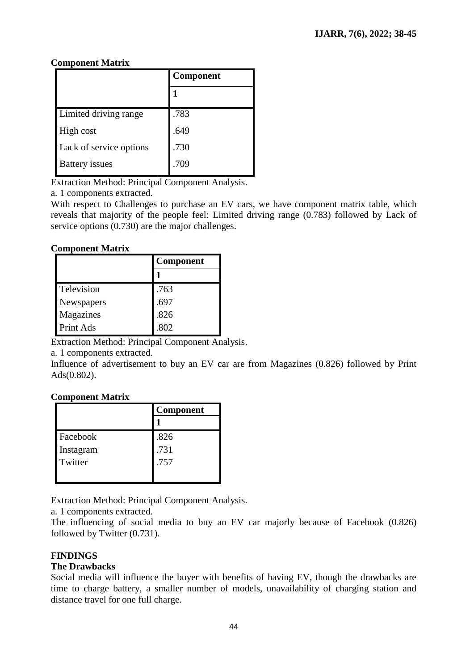### **Component Matrix**

|                         | Component |
|-------------------------|-----------|
|                         |           |
| Limited driving range   | .783      |
| High cost               | .649      |
| Lack of service options | .730      |
| <b>Battery</b> issues   | .709      |

Extraction Method: Principal Component Analysis.

a. 1 components extracted.

With respect to Challenges to purchase an EV cars, we have component matrix table, which reveals that majority of the people feel: Limited driving range (0.783) followed by Lack of service options (0.730) are the major challenges.

### **Component Matrix**

|            | Component |  |
|------------|-----------|--|
|            |           |  |
| Television | .763      |  |
| Newspapers | .697      |  |
| Magazines  | .826      |  |
| Print Ads  | .802      |  |

Extraction Method: Principal Component Analysis.

a. 1 components extracted.

Influence of advertisement to buy an EV car are from Magazines (0.826) followed by Print Ads(0.802).

### **Component Matrix**

|           | Component |
|-----------|-----------|
|           |           |
| Facebook  | .826      |
| Instagram | .731      |
| Twitter   | .757      |
|           |           |

Extraction Method: Principal Component Analysis.

a. 1 components extracted.

The influencing of social media to buy an EV car majorly because of Facebook (0.826) followed by Twitter (0.731).

## **FINDINGS**

### **The Drawbacks**

Social media will influence the buyer with benefits of having EV, though the drawbacks are time to charge battery, a smaller number of models, unavailability of charging station and distance travel for one full charge.